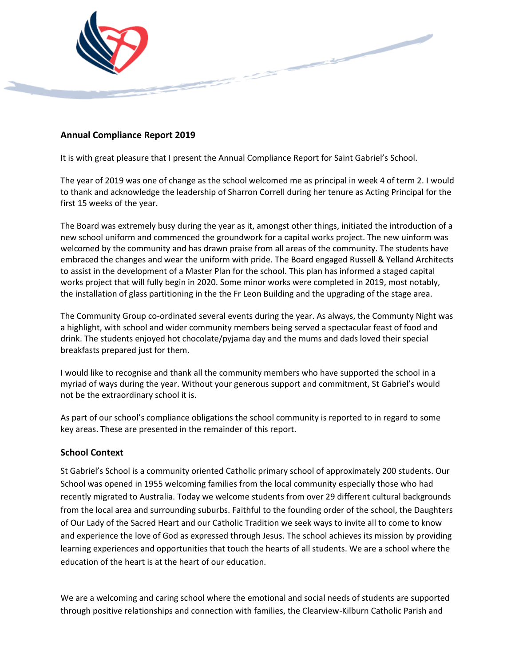

#### **Annual Compliance Report 2019**

It is with great pleasure that I present the Annual Compliance Report for Saint Gabriel's School.

The year of 2019 was one of change as the school welcomed me as principal in week 4 of term 2. I would to thank and acknowledge the leadership of Sharron Correll during her tenure as Acting Principal for the first 15 weeks of the year.

The Board was extremely busy during the year as it, amongst other things, initiated the introduction of a new school uniform and commenced the groundwork for a capital works project. The new uinform was welcomed by the community and has drawn praise from all areas of the community. The students have embraced the changes and wear the uniform with pride. The Board engaged Russell & Yelland Architects to assist in the development of a Master Plan for the school. This plan has informed a staged capital works project that will fully begin in 2020. Some minor works were completed in 2019, most notably, the installation of glass partitioning in the the Fr Leon Building and the upgrading of the stage area.

The Community Group co-ordinated several events during the year. As always, the Communty Night was a highlight, with school and wider community members being served a spectacular feast of food and drink. The students enjoyed hot chocolate/pyjama day and the mums and dads loved their special breakfasts prepared just for them.

I would like to recognise and thank all the community members who have supported the school in a myriad of ways during the year. Without your generous support and commitment, St Gabriel's would not be the extraordinary school it is.

As part of our school's compliance obligations the school community is reported to in regard to some key areas. These are presented in the remainder of this report.

#### **School Context**

St Gabriel's School is a community oriented Catholic primary school of approximately 200 students. Our School was opened in 1955 welcoming families from the local community especially those who had recently migrated to Australia. Today we welcome students from over 29 different cultural backgrounds from the local area and surrounding suburbs. Faithful to the founding order of the school, the Daughters of Our Lady of the Sacred Heart and our Catholic Tradition we seek ways to invite all to come to know and experience the love of God as expressed through Jesus. The school achieves its mission by providing learning experiences and opportunities that touch the hearts of all students. We are a school where the education of the heart is at the heart of our education.

We are a welcoming and caring school where the emotional and social needs of students are supported through positive relationships and connection with families, the Clearview-Kilburn Catholic Parish and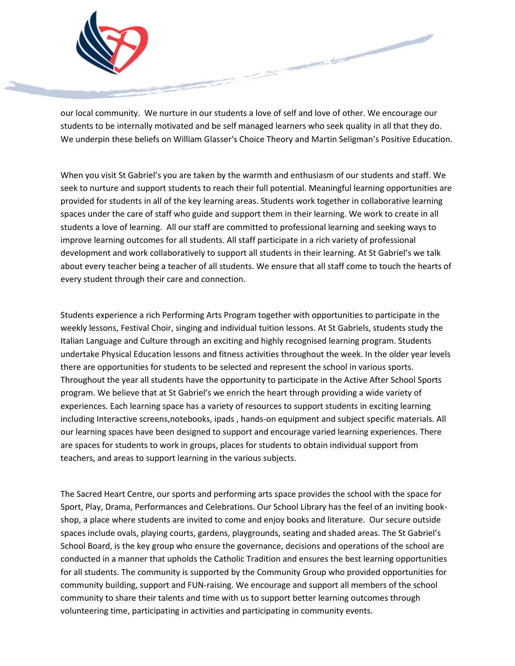

our local community. We nurture in our students a love of self and love of other. We encourage our students to be internally motivated and be self managed learners who seek quality in all that they do. We underpin these beliefs on William Glasser's Choice Theory and Martin Seligman's Positive Education.

When you visit St Gabriel's you are taken by the warmth and enthusiasm of our students and staff. We seek to nurture and support students to reach their full potential. Meaningful learning opportunities are provided for students in all of the key learning areas. Students work together in collaborative learning spaces under the care of staff who guide and support them in their learning. We work to create in all students a love of learning. All our staff are committed to professional learning and seeking ways to improve learning outcomes for all students. All staff participate in a rich variety of professional development and work collaboratively to support all students in their learning. At St Gabriel's we talk about every teacher being a teacher of all students. We ensure that all staff come to touch the hearts of every student through their care and connection.

Students experience a rich Performing Arts Program together with opportunities to participate in the weekly lessons, Festival Choir, singing and individual tuition lessons. At St Gabriels, students study the Italian Language and Culture through an exciting and highly recognised learning program. Students undertake Physical Education lessons and fitness activities throughout the week. In the older year levels there are opportunities for students to be selected and represent the school in various sports. Throughout the year all students have the opportunity to participate in the Active After School Sports program. We believe that at St Gabriel's we enrich the heart through providing a wide variety of experiences. Each learning space has a variety of resources to support students in exciting learning including Interactive screens,notebooks, ipads , hands-on equipment and subject specific materials. All our learning spaces have been designed to support and encourage varied learning experiences. There are spaces for students to work in groups, places for students to obtain individual support from teachers, and areas to support learning in the various subjects.

The Sacred Heart Centre, our sports and performing arts space provides the school with the space for Sport, Play, Drama, Performances and Celebrations. Our School Library has the feel of an inviting bookshop, a place where students are invited to come and enjoy books and literature. Our secure outside spaces include ovals, playing courts, gardens, playgrounds, seating and shaded areas. The St Gabriel's School Board, is the key group who ensure the governance, decisions and operations of the school are conducted in a manner that upholds the Catholic Tradition and ensures the best learning opportunities for all students. The community is supported by the Community Group who provided opportunities for community building, support and FUN-raising. We encourage and support all members of the school community to share their talents and time with us to support better learning outcomes through volunteering time, participating in activities and participating in community events.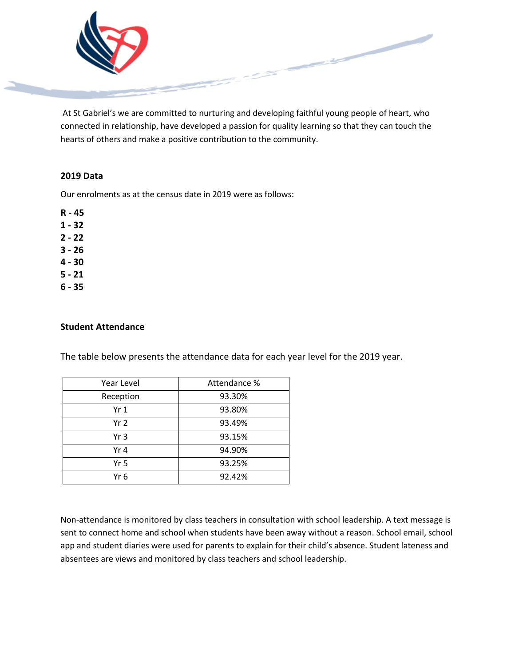

At St Gabriel's we are committed to nurturing and developing faithful young people of heart, who connected in relationship, have developed a passion for quality learning so that they can touch the hearts of others and make a positive contribution to the community.

### **2019 Data**

Our enrolments as at the census date in 2019 were as follows:

**R - 45**

- **1 - 32**
- **2 - 22**
- **3 - 26**
- **4 - 30**
- **5 - 21**
- **6 - 35**

#### **Student Attendance**

The table below presents the attendance data for each year level for the 2019 year.

| Year Level      | Attendance % |  |  |
|-----------------|--------------|--|--|
| Reception       | 93.30%       |  |  |
| Yr 1            | 93.80%       |  |  |
| Yr <sub>2</sub> | 93.49%       |  |  |
| Yr <sub>3</sub> | 93.15%       |  |  |
| Yr 4            | 94.90%       |  |  |
| Yr 5            | 93.25%       |  |  |
| Yr 6            | 92.42%       |  |  |

Non-attendance is monitored by class teachers in consultation with school leadership. A text message is sent to connect home and school when students have been away without a reason. School email, school app and student diaries were used for parents to explain for their child's absence. Student lateness and absentees are views and monitored by class teachers and school leadership.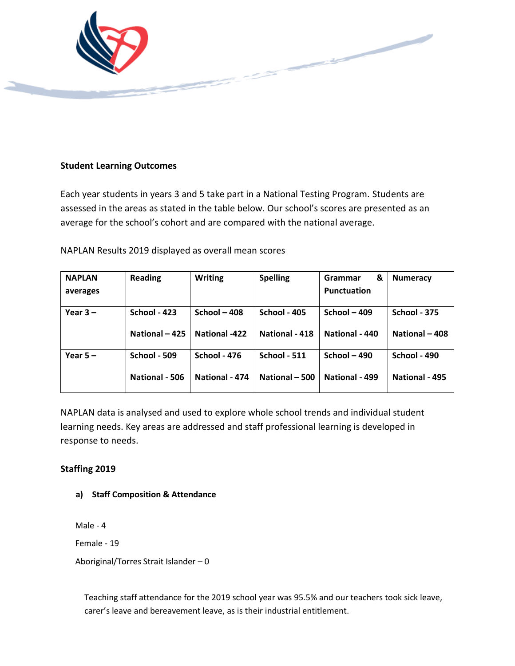

### **Student Learning Outcomes**

Each year students in years 3 and 5 take part in a National Testing Program. Students are assessed in the areas as stated in the table below. Our school's scores are presented as an average for the school's cohort and are compared with the national average.

NAPLAN Results 2019 displayed as overall mean scores

| <b>NAPLAN</b> | <b>Reading</b>      | <b>Writing</b>       | <b>Spelling</b>     | &<br>Grammar   | <b>Numeracy</b> |
|---------------|---------------------|----------------------|---------------------|----------------|-----------------|
| averages      |                     |                      |                     | Punctuation    |                 |
|               |                     |                      |                     |                |                 |
| Year $3 -$    | <b>School - 423</b> | School $-408$        | <b>School - 405</b> | School $-409$  | School - 375    |
|               | National - 425      | <b>National -422</b> | National - 418      | National - 440 | National - 408  |
| Year $5 -$    | <b>School - 509</b> | School - 476         | <b>School - 511</b> | School $-490$  | School - 490    |
|               | National - 506      | National - 474       | National - 500      | National - 499 | National - 495  |

NAPLAN data is analysed and used to explore whole school trends and individual student learning needs. Key areas are addressed and staff professional learning is developed in response to needs.

### **Staffing 2019**

**a) Staff Composition & Attendance** 

Male - 4

Female - 19

Aboriginal/Torres Strait Islander – 0

Teaching staff attendance for the 2019 school year was 95.5% and our teachers took sick leave, carer's leave and bereavement leave, as is their industrial entitlement.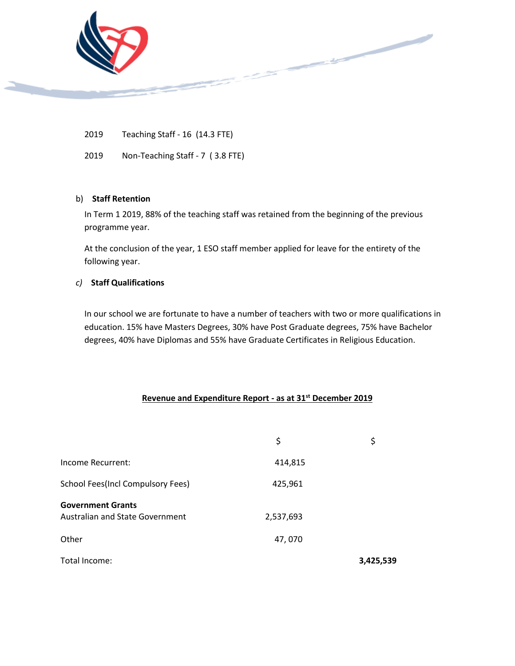

2019 Teaching Staff - 16 (14.3 FTE)

2019 Non-Teaching Staff - 7 ( 3.8 FTE)

#### b) **Staff Retention**

In Term 1 2019, 88% of the teaching staff was retained from the beginning of the previous programme year.

At the conclusion of the year, 1 ESO staff member applied for leave for the entirety of the following year.

#### *c)* **Staff Qualifications**

In our school we are fortunate to have a number of teachers with two or more qualifications in education. 15% have Masters Degrees, 30% have Post Graduate degrees, 75% have Bachelor degrees, 40% have Diplomas and 55% have Graduate Certificates in Religious Education.

#### **Revenue and Expenditure Report - as at 31st December 2019**

|                                                             | \$        | \$        |
|-------------------------------------------------------------|-----------|-----------|
| Income Recurrent:                                           | 414,815   |           |
| <b>School Fees(Incl Compulsory Fees)</b>                    | 425,961   |           |
| <b>Government Grants</b><br>Australian and State Government | 2,537,693 |           |
| Other                                                       | 47,070    |           |
| Total Income:                                               |           | 3,425,539 |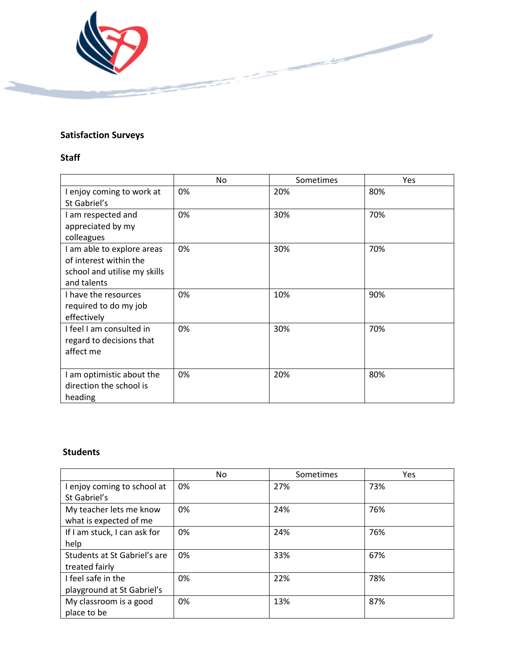

# **Satisfaction Surveys**

## **Staff**

|                                                                                                     | No | Sometimes | Yes |
|-----------------------------------------------------------------------------------------------------|----|-----------|-----|
| I enjoy coming to work at<br>St Gabriel's                                                           | 0% | 20%       | 80% |
| I am respected and<br>appreciated by my<br>colleagues                                               | 0% | 30%       | 70% |
| I am able to explore areas<br>of interest within the<br>school and utilise my skills<br>and talents | 0% | 30%       | 70% |
| I have the resources<br>required to do my job<br>effectively                                        | 0% | 10%       | 90% |
| I feel I am consulted in<br>regard to decisions that<br>affect me                                   | 0% | 30%       | 70% |
| I am optimistic about the<br>direction the school is<br>heading                                     | 0% | 20%       | 80% |

## **Students**

|                              | No | Sometimes | Yes |
|------------------------------|----|-----------|-----|
| I enjoy coming to school at  | 0% | 27%       | 73% |
| St Gabriel's                 |    |           |     |
| My teacher lets me know      | 0% | 24%       | 76% |
| what is expected of me       |    |           |     |
| If I am stuck, I can ask for | 0% | 24%       | 76% |
| help                         |    |           |     |
| Students at St Gabriel's are | 0% | 33%       | 67% |
| treated fairly               |    |           |     |
| I feel safe in the           | 0% | 22%       | 78% |
| playground at St Gabriel's   |    |           |     |
| My classroom is a good       | 0% | 13%       | 87% |
| place to be                  |    |           |     |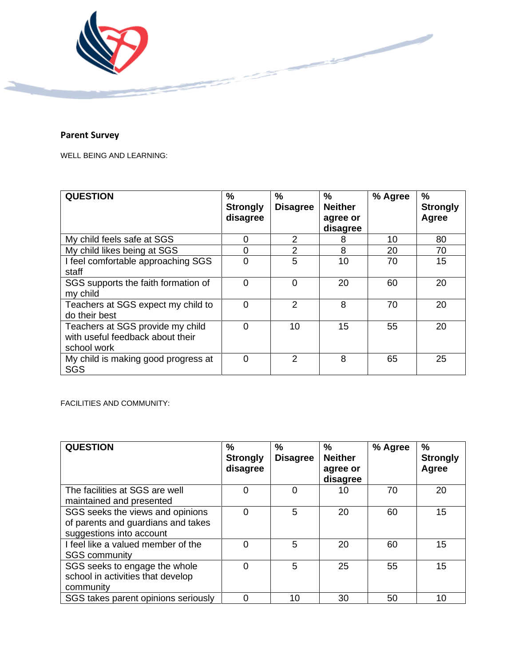

## **Parent Survey**

WELL BEING AND LEARNING:

| <b>QUESTION</b>                                                                     | $\frac{0}{0}$<br><b>Strongly</b><br>disagree | $\frac{0}{0}$<br><b>Disagree</b> | $\frac{0}{0}$<br><b>Neither</b><br>agree or<br>disagree | % Agree | $\frac{9}{6}$<br><b>Strongly</b><br>Agree |
|-------------------------------------------------------------------------------------|----------------------------------------------|----------------------------------|---------------------------------------------------------|---------|-------------------------------------------|
| My child feels safe at SGS                                                          | 0                                            | 2                                | 8                                                       | 10      | 80                                        |
| My child likes being at SGS                                                         | 0                                            | 2                                | 8                                                       | 20      | 70                                        |
| I feel comfortable approaching SGS<br>staff                                         | 0                                            | 5                                | 10                                                      | 70      | 15                                        |
| SGS supports the faith formation of<br>my child                                     | 0                                            | $\Omega$                         | 20                                                      | 60      | 20                                        |
| Teachers at SGS expect my child to<br>do their best                                 | $\mathbf 0$                                  | $\mathcal{P}$                    | 8                                                       | 70      | 20                                        |
| Teachers at SGS provide my child<br>with useful feedback about their<br>school work | 0                                            | 10                               | 15                                                      | 55      | 20                                        |
| My child is making good progress at<br>SGS                                          | $\overline{0}$                               | $\mathfrak{p}$                   | 8                                                       | 65      | 25                                        |

FACILITIES AND COMMUNITY:

| <b>QUESTION</b>                                                                                    | %<br><b>Strongly</b><br>disagree | %<br><b>Disagree</b> | $\%$<br><b>Neither</b><br>agree or<br>disagree | % Agree | $\frac{0}{0}$<br><b>Strongly</b><br>Agree |
|----------------------------------------------------------------------------------------------------|----------------------------------|----------------------|------------------------------------------------|---------|-------------------------------------------|
| The facilities at SGS are well<br>maintained and presented                                         | 0                                | 0                    | 10                                             | 70      | 20                                        |
| SGS seeks the views and opinions<br>of parents and guardians and takes<br>suggestions into account | 0                                | 5                    | 20                                             | 60      | 15                                        |
| I feel like a valued member of the<br><b>SGS community</b>                                         | ი                                | 5                    | 20                                             | 60      | 15                                        |
| SGS seeks to engage the whole<br>school in activities that develop<br>community                    | 0                                | 5                    | 25                                             | 55      | 15                                        |
| SGS takes parent opinions seriously                                                                |                                  | 10                   | 30                                             | 50      | 10                                        |